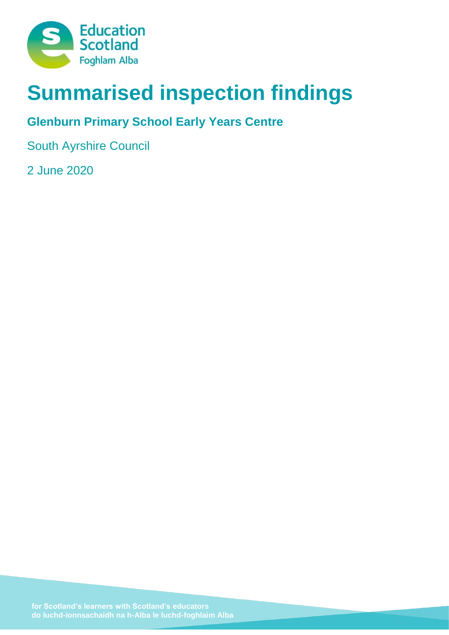

# **Summarised inspection findings**

# **Glenburn Primary School Early Years Centre**

South Ayrshire Council

2 June 2020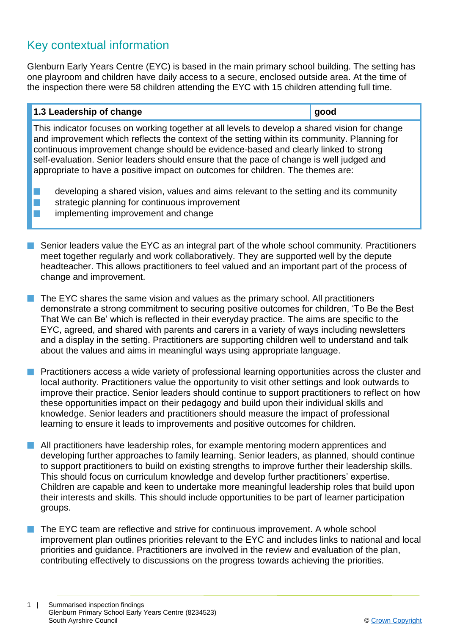# Key contextual information

Glenburn Early Years Centre (EYC) is based in the main primary school building. The setting has one playroom and children have daily access to a secure, enclosed outside area. At the time of the inspection there were 58 children attending the EYC with 15 children attending full time.

## **1.3 Leadership of change good**

This indicator focuses on working together at all levels to develop a shared vision for change and improvement which reflects the context of the setting within its community. Planning for continuous improvement change should be evidence-based and clearly linked to strong self-evaluation. Senior leaders should ensure that the pace of change is well judged and appropriate to have a positive impact on outcomes for children. The themes are:

- $\blacksquare$  developing a shared vision, values and aims relevant to the setting and its community
- $\blacksquare$  strategic planning for continuous improvement
- $\blacksquare$  implementing improvement and change
- Senior leaders value the EYC as an integral part of the whole school community. Practitioners meet together regularly and work collaboratively. They are supported well by the depute headteacher. This allows practitioners to feel valued and an important part of the process of change and improvement.
- $\blacksquare$  The EYC shares the same vision and values as the primary school. All practitioners demonstrate a strong commitment to securing positive outcomes for children, 'To Be the Best That We can Be' which is reflected in their everyday practice. The aims are specific to the EYC, agreed, and shared with parents and carers in a variety of ways including newsletters and a display in the setting. Practitioners are supporting children well to understand and talk about the values and aims in meaningful ways using appropriate language.
- **n** Practitioners access a wide variety of professional learning opportunities across the cluster and local authority. Practitioners value the opportunity to visit other settings and look outwards to improve their practice. Senior leaders should continue to support practitioners to reflect on how these opportunities impact on their pedagogy and build upon their individual skills and knowledge. Senior leaders and practitioners should measure the impact of professional learning to ensure it leads to improvements and positive outcomes for children.
- **n** All practitioners have leadership roles, for example mentoring modern apprentices and developing further approaches to family learning. Senior leaders, as planned, should continue to support practitioners to build on existing strengths to improve further their leadership skills. This should focus on curriculum knowledge and develop further practitioners' expertise. Children are capable and keen to undertake more meaningful leadership roles that build upon their interests and skills. This should include opportunities to be part of learner participation groups.
- The EYC team are reflective and strive for continuous improvement. A whole school improvement plan outlines priorities relevant to the EYC and includes links to national and local priorities and guidance. Practitioners are involved in the review and evaluation of the plan, contributing effectively to discussions on the progress towards achieving the priorities.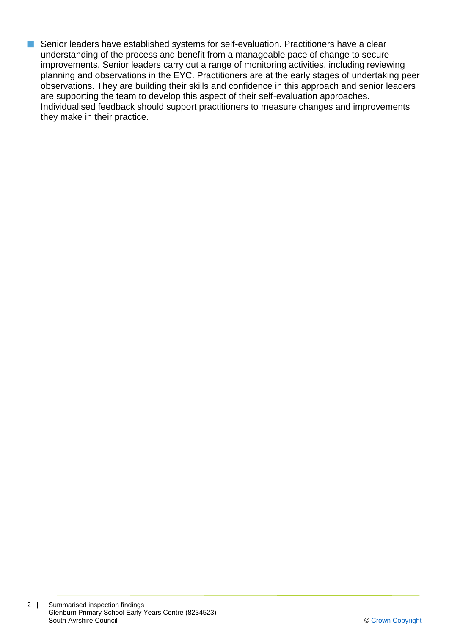Senior leaders have established systems for self-evaluation. Practitioners have a clear understanding of the process and benefit from a manageable pace of change to secure improvements. Senior leaders carry out a range of monitoring activities, including reviewing planning and observations in the EYC. Practitioners are at the early stages of undertaking peer observations. They are building their skills and confidence in this approach and senior leaders are supporting the team to develop this aspect of their self-evaluation approaches. Individualised feedback should support practitioners to measure changes and improvements they make in their practice.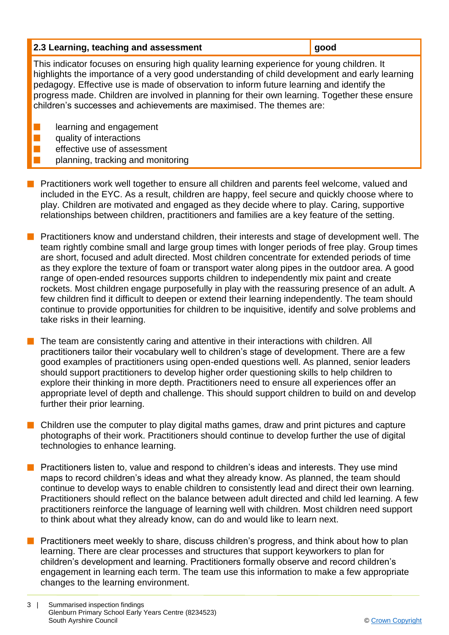| 2.3 Learning, teaching and assessment                                                                                                                                                                                                                                                                                                                                                                                                                               | good |
|---------------------------------------------------------------------------------------------------------------------------------------------------------------------------------------------------------------------------------------------------------------------------------------------------------------------------------------------------------------------------------------------------------------------------------------------------------------------|------|
| This indicator focuses on ensuring high quality learning experience for young children. It<br>highlights the importance of a very good understanding of child development and early learning<br>pedagogy. Effective use is made of observation to inform future learning and identify the<br>progress made. Children are involved in planning for their own learning. Together these ensure<br>children's successes and achievements are maximised. The themes are: |      |
| learning and engagement<br>quality of interactions                                                                                                                                                                                                                                                                                                                                                                                                                  |      |
| effective use of assessment                                                                                                                                                                                                                                                                                                                                                                                                                                         |      |

- planning, tracking and monitoring
- **n** Practitioners work well together to ensure all children and parents feel welcome, valued and included in the EYC. As a result, children are happy, feel secure and quickly choose where to play. Children are motivated and engaged as they decide where to play. Caring, supportive relationships between children, practitioners and families are a key feature of the setting.
- n Practitioners know and understand children, their interests and stage of development well. The team rightly combine small and large group times with longer periods of free play. Group times are short, focused and adult directed. Most children concentrate for extended periods of time as they explore the texture of foam or transport water along pipes in the outdoor area. A good range of open-ended resources supports children to independently mix paint and create rockets. Most children engage purposefully in play with the reassuring presence of an adult. A few children find it difficult to deepen or extend their learning independently. The team should continue to provide opportunities for children to be inquisitive, identify and solve problems and take risks in their learning.
- The team are consistently caring and attentive in their interactions with children. All practitioners tailor their vocabulary well to children's stage of development. There are a few good examples of practitioners using open-ended questions well. As planned, senior leaders should support practitioners to develop higher order questioning skills to help children to explore their thinking in more depth. Practitioners need to ensure all experiences offer an appropriate level of depth and challenge. This should support children to build on and develop further their prior learning.
- Children use the computer to play digital maths games, draw and print pictures and capture photographs of their work. Practitioners should continue to develop further the use of digital technologies to enhance learning.
- Practitioners listen to, value and respond to children's ideas and interests. They use mind maps to record children's ideas and what they already know. As planned, the team should continue to develop ways to enable children to consistently lead and direct their own learning. Practitioners should reflect on the balance between adult directed and child led learning. A few practitioners reinforce the language of learning well with children. Most children need support to think about what they already know, can do and would like to learn next.
- Practitioners meet weekly to share, discuss children's progress, and think about how to plan learning. There are clear processes and structures that support keyworkers to plan for children's development and learning. Practitioners formally observe and record children's engagement in learning each term. The team use this information to make a few appropriate changes to the learning environment.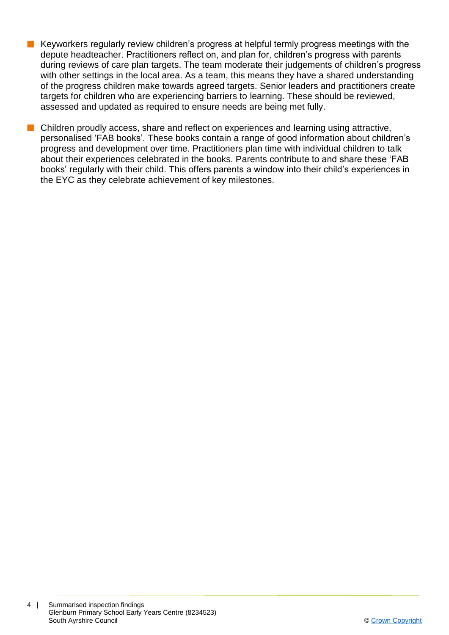- n Keyworkers regularly review children's progress at helpful termly progress meetings with the depute headteacher. Practitioners reflect on, and plan for, children's progress with parents during reviews of care plan targets. The team moderate their judgements of children's progress with other settings in the local area. As a team, this means they have a shared understanding of the progress children make towards agreed targets. Senior leaders and practitioners create targets for children who are experiencing barriers to learning. These should be reviewed, assessed and updated as required to ensure needs are being met fully.
- $\blacksquare$  Children proudly access, share and reflect on experiences and learning using attractive, personalised 'FAB books'. These books contain a range of good information about children's progress and development over time. Practitioners plan time with individual children to talk about their experiences celebrated in the books. Parents contribute to and share these 'FAB books' regularly with their child. This offers parents a window into their child's experiences in the EYC as they celebrate achievement of key milestones.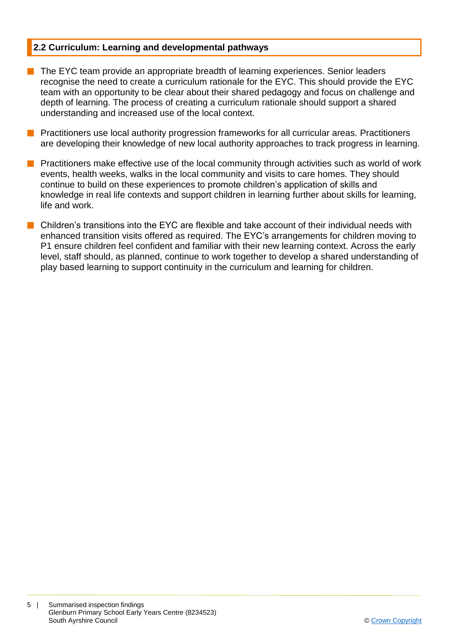## **2.2 Curriculum: Learning and developmental pathways**

- $\blacksquare$  The EYC team provide an appropriate breadth of learning experiences. Senior leaders recognise the need to create a curriculum rationale for the EYC. This should provide the EYC team with an opportunity to be clear about their shared pedagogy and focus on challenge and depth of learning. The process of creating a curriculum rationale should support a shared understanding and increased use of the local context.
- **n** Practitioners use local authority progression frameworks for all curricular areas. Practitioners are developing their knowledge of new local authority approaches to track progress in learning.
- **n** Practitioners make effective use of the local community through activities such as world of work events, health weeks, walks in the local community and visits to care homes. They should continue to build on these experiences to promote children's application of skills and knowledge in real life contexts and support children in learning further about skills for learning, life and work.
- $\blacksquare$  Children's transitions into the EYC are flexible and take account of their individual needs with enhanced transition visits offered as required. The EYC's arrangements for children moving to P1 ensure children feel confident and familiar with their new learning context. Across the early level, staff should, as planned, continue to work together to develop a shared understanding of play based learning to support continuity in the curriculum and learning for children.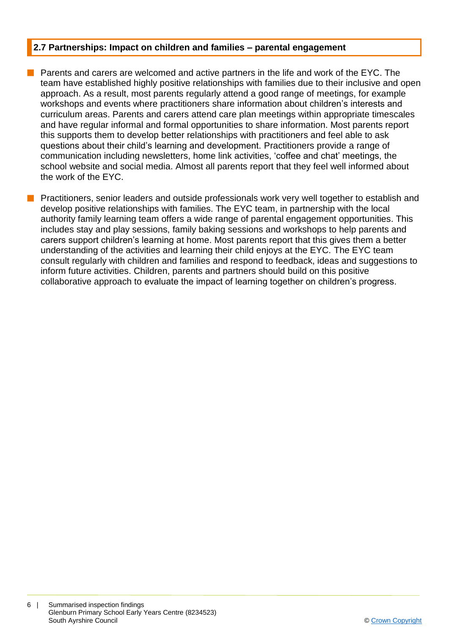## **2.7 Partnerships: Impact on children and families – parental engagement**

**n** Parents and carers are welcomed and active partners in the life and work of the EYC. The team have established highly positive relationships with families due to their inclusive and open approach. As a result, most parents regularly attend a good range of meetings, for example workshops and events where practitioners share information about children's interests and curriculum areas. Parents and carers attend care plan meetings within appropriate timescales and have regular informal and formal opportunities to share information. Most parents report this supports them to develop better relationships with practitioners and feel able to ask questions about their child's learning and development. Practitioners provide a range of communication including newsletters, home link activities, 'coffee and chat' meetings, the school website and social media. Almost all parents report that they feel well informed about the work of the EYC.

n Practitioners, senior leaders and outside professionals work very well together to establish and develop positive relationships with families. The EYC team, in partnership with the local authority family learning team offers a wide range of parental engagement opportunities. This includes stay and play sessions, family baking sessions and workshops to help parents and carers support children's learning at home. Most parents report that this gives them a better understanding of the activities and learning their child enjoys at the EYC. The EYC team consult regularly with children and families and respond to feedback, ideas and suggestions to inform future activities. Children, parents and partners should build on this positive collaborative approach to evaluate the impact of learning together on children's progress.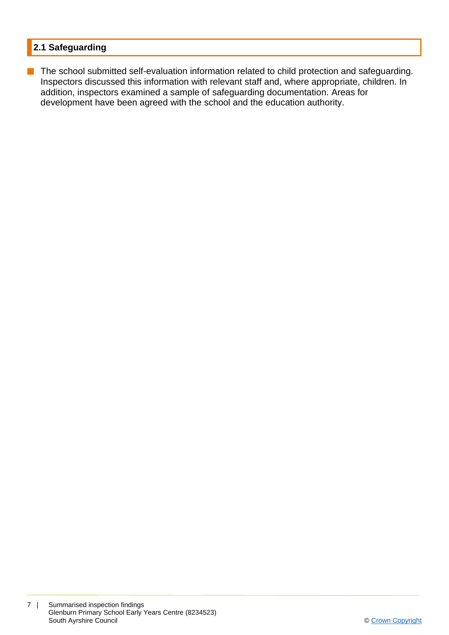## **2.1 Safeguarding**

**n** The school submitted self-evaluation information related to child protection and safeguarding. Inspectors discussed this information with relevant staff and, where appropriate, children. In addition, inspectors examined a sample of safeguarding documentation. Areas for development have been agreed with the school and the education authority.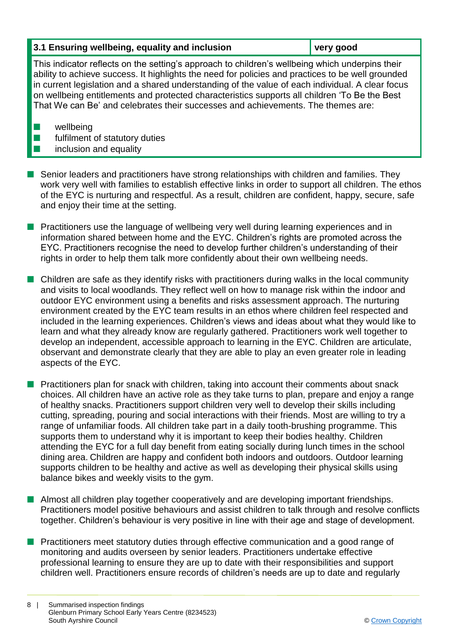## **3.1 Ensuring wellbeing, equality and inclusion very good**

This indicator reflects on the setting's approach to children's wellbeing which underpins their ability to achieve success. It highlights the need for policies and practices to be well grounded in current legislation and a shared understanding of the value of each individual. A clear focus on wellbeing entitlements and protected characteristics supports all children 'To Be the Best That We can Be' and celebrates their successes and achievements. The themes are:

 $\blacksquare$  wellbeing

 $\blacksquare$  fulfilment of statutory duties

# $\blacksquare$  inclusion and equality

- Senior leaders and practitioners have strong relationships with children and families. They work very well with families to establish effective links in order to support all children. The ethos of the EYC is nurturing and respectful. As a result, children are confident, happy, secure, safe and enjoy their time at the setting.
- **n** Practitioners use the language of wellbeing very well during learning experiences and in information shared between home and the EYC. Children's rights are promoted across the EYC. Practitioners recognise the need to develop further children's understanding of their rights in order to help them talk more confidently about their own wellbeing needs.
- $\blacksquare$  Children are safe as they identify risks with practitioners during walks in the local community and visits to local woodlands. They reflect well on how to manage risk within the indoor and outdoor EYC environment using a benefits and risks assessment approach. The nurturing environment created by the EYC team results in an ethos where children feel respected and included in the learning experiences. Children's views and ideas about what they would like to learn and what they already know are regularly gathered. Practitioners work well together to develop an independent, accessible approach to learning in the EYC. Children are articulate, observant and demonstrate clearly that they are able to play an even greater role in leading aspects of the EYC.
- **n** Practitioners plan for snack with children, taking into account their comments about snack choices. All children have an active role as they take turns to plan, prepare and enjoy a range of healthy snacks. Practitioners support children very well to develop their skills including cutting, spreading, pouring and social interactions with their friends. Most are willing to try a range of unfamiliar foods. All children take part in a daily tooth-brushing programme. This supports them to understand why it is important to keep their bodies healthy. Children attending the EYC for a full day benefit from eating socially during lunch times in the school dining area. Children are happy and confident both indoors and outdoors. Outdoor learning supports children to be healthy and active as well as developing their physical skills using balance bikes and weekly visits to the gym.
- $\blacksquare$  Almost all children play together cooperatively and are developing important friendships. Practitioners model positive behaviours and assist children to talk through and resolve conflicts together. Children's behaviour is very positive in line with their age and stage of development.
- Practitioners meet statutory duties through effective communication and a good range of monitoring and audits overseen by senior leaders. Practitioners undertake effective professional learning to ensure they are up to date with their responsibilities and support children well. Practitioners ensure records of children's needs are up to date and regularly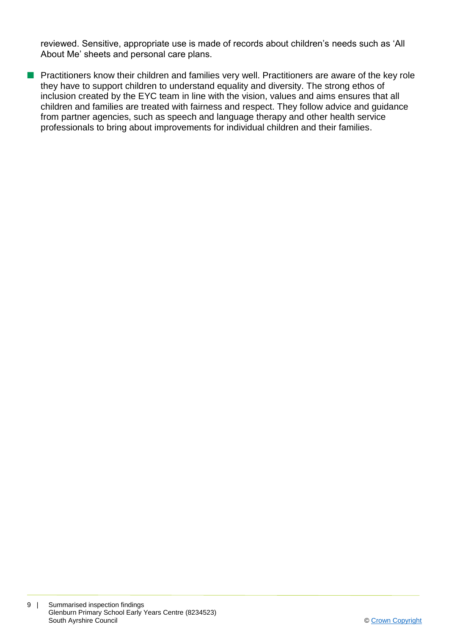reviewed. Sensitive, appropriate use is made of records about children's needs such as 'All About Me' sheets and personal care plans.

**n** Practitioners know their children and families very well. Practitioners are aware of the key role they have to support children to understand equality and diversity. The strong ethos of inclusion created by the EYC team in line with the vision, values and aims ensures that all children and families are treated with fairness and respect. They follow advice and guidance from partner agencies, such as speech and language therapy and other health service professionals to bring about improvements for individual children and their families.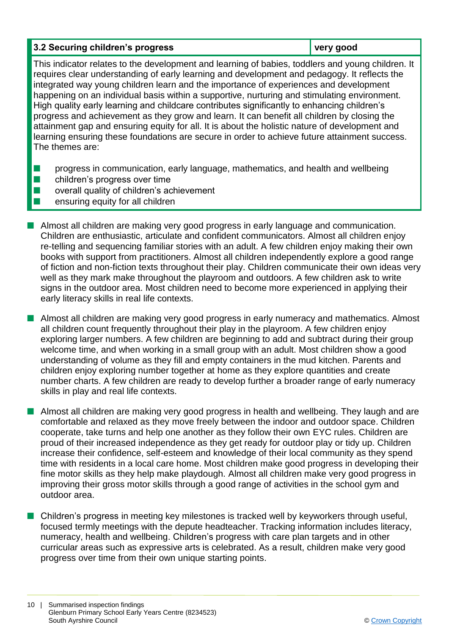#### **3.2 Securing children's progress very good**

This indicator relates to the development and learning of babies, toddlers and young children. It requires clear understanding of early learning and development and pedagogy. It reflects the integrated way young children learn and the importance of experiences and development happening on an individual basis within a supportive, nurturing and stimulating environment. High quality early learning and childcare contributes significantly to enhancing children's progress and achievement as they grow and learn. It can benefit all children by closing the attainment gap and ensuring equity for all. It is about the holistic nature of development and learning ensuring these foundations are secure in order to achieve future attainment success. The themes are:

- **n** progress in communication, early language, mathematics, and health and wellbeing
- $\blacksquare$  children's progress over time
- $\blacksquare$  overall quality of children's achievement
- $\blacksquare$  ensuring equity for all children
- **n** Almost all children are making very good progress in early language and communication. Children are enthusiastic, articulate and confident communicators. Almost all children enjoy re-telling and sequencing familiar stories with an adult. A few children enjoy making their own books with support from practitioners. Almost all children independently explore a good range of fiction and non-fiction texts throughout their play. Children communicate their own ideas very well as they mark make throughout the playroom and outdoors. A few children ask to write signs in the outdoor area. Most children need to become more experienced in applying their early literacy skills in real life contexts.

■ Almost all children are making very good progress in early numeracy and mathematics. Almost all children count frequently throughout their play in the playroom. A few children enjoy exploring larger numbers. A few children are beginning to add and subtract during their group welcome time, and when working in a small group with an adult. Most children show a good understanding of volume as they fill and empty containers in the mud kitchen. Parents and children enjoy exploring number together at home as they explore quantities and create number charts. A few children are ready to develop further a broader range of early numeracy skills in play and real life contexts.

■ Almost all children are making very good progress in health and wellbeing. They laugh and are comfortable and relaxed as they move freely between the indoor and outdoor space. Children cooperate, take turns and help one another as they follow their own EYC rules. Children are proud of their increased independence as they get ready for outdoor play or tidy up. Children increase their confidence, self-esteem and knowledge of their local community as they spend time with residents in a local care home. Most children make good progress in developing their fine motor skills as they help make playdough. Almost all children make very good progress in improving their gross motor skills through a good range of activities in the school gym and outdoor area.

n Children's progress in meeting key milestones is tracked well by keyworkers through useful, focused termly meetings with the depute headteacher. Tracking information includes literacy, numeracy, health and wellbeing. Children's progress with care plan targets and in other curricular areas such as expressive arts is celebrated. As a result, children make very good progress over time from their own unique starting points.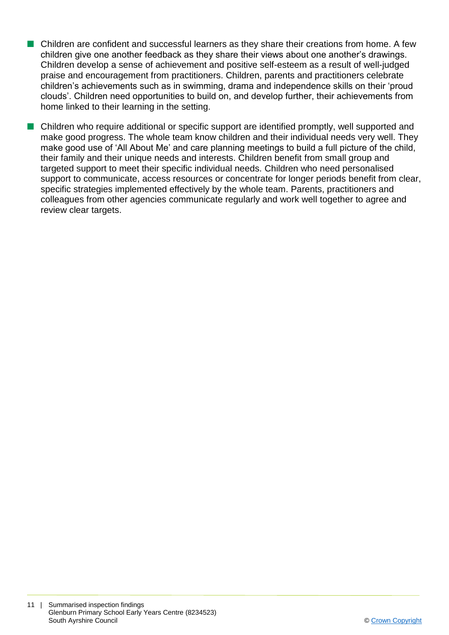- **n** Children are confident and successful learners as they share their creations from home. A few children give one another feedback as they share their views about one another's drawings. Children develop a sense of achievement and positive self-esteem as a result of well-judged praise and encouragement from practitioners. Children, parents and practitioners celebrate children's achievements such as in swimming, drama and independence skills on their 'proud clouds'. Children need opportunities to build on, and develop further, their achievements from home linked to their learning in the setting.
- **n** Children who require additional or specific support are identified promptly, well supported and make good progress. The whole team know children and their individual needs very well. They make good use of 'All About Me' and care planning meetings to build a full picture of the child, their family and their unique needs and interests. Children benefit from small group and targeted support to meet their specific individual needs. Children who need personalised support to communicate, access resources or concentrate for longer periods benefit from clear, specific strategies implemented effectively by the whole team. Parents, practitioners and colleagues from other agencies communicate regularly and work well together to agree and review clear targets.